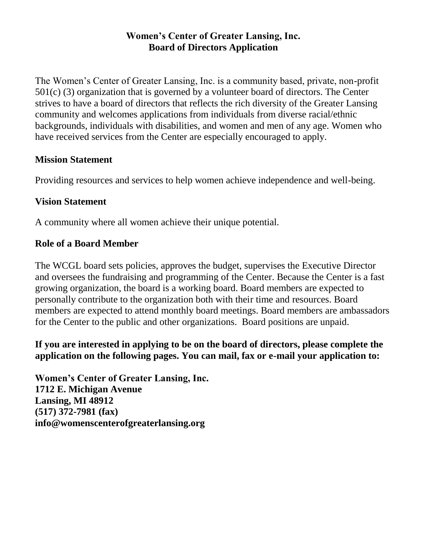## **Women's Center of Greater Lansing, Inc. Board of Directors Application**

The Women's Center of Greater Lansing, Inc. is a community based, private, non-profit 501(c) (3) organization that is governed by a volunteer board of directors. The Center strives to have a board of directors that reflects the rich diversity of the Greater Lansing community and welcomes applications from individuals from diverse racial/ethnic backgrounds, individuals with disabilities, and women and men of any age. Women who have received services from the Center are especially encouraged to apply.

## **Mission Statement**

Providing resources and services to help women achieve independence and well-being.

## **Vision Statement**

A community where all women achieve their unique potential.

## **Role of a Board Member**

The WCGL board sets policies, approves the budget, supervises the Executive Director and oversees the fundraising and programming of the Center. Because the Center is a fast growing organization, the board is a working board. Board members are expected to personally contribute to the organization both with their time and resources. Board members are expected to attend monthly board meetings. Board members are ambassadors for the Center to the public and other organizations. Board positions are unpaid.

# **If you are interested in applying to be on the board of directors, please complete the application on the following pages. You can mail, fax or e-mail your application to:**

**Women's Center of Greater Lansing, Inc. 1712 E. Michigan Avenue Lansing, MI 48912 (517) 372-7981 (fax) info@womenscenterofgreaterlansing.org**